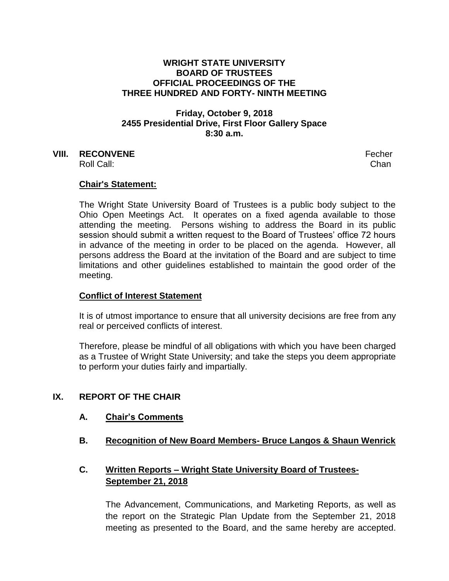#### **WRIGHT STATE UNIVERSITY BOARD OF TRUSTEES OFFICIAL PROCEEDINGS OF THE THREE HUNDRED AND FORTY- NINTH MEETING**

# **Friday, October 9, 2018 2455 Presidential Drive, First Floor Gallery Space 8:30 a.m.**

# **VIII. RECONVENE** Fecher

Roll Call: Chan

## **Chair's Statement:**

The Wright State University Board of Trustees is a public body subject to the Ohio Open Meetings Act. It operates on a fixed agenda available to those attending the meeting. Persons wishing to address the Board in its public session should submit a written request to the Board of Trustees' office 72 hours in advance of the meeting in order to be placed on the agenda. However, all persons address the Board at the invitation of the Board and are subject to time limitations and other guidelines established to maintain the good order of the meeting.

### **Conflict of Interest Statement**

It is of utmost importance to ensure that all university decisions are free from any real or perceived conflicts of interest.

Therefore, please be mindful of all obligations with which you have been charged as a Trustee of Wright State University; and take the steps you deem appropriate to perform your duties fairly and impartially.

### **IX. REPORT OF THE CHAIR**

#### **A. Chair's Comments**

**B. Recognition of New Board Members- Bruce Langos & Shaun Wenrick**

# **C. Written Reports – Wright State University Board of Trustees-September 21, 2018**

The Advancement, Communications, and Marketing Reports, as well as the report on the Strategic Plan Update from the September 21, 2018 meeting as presented to the Board, and the same hereby are accepted.